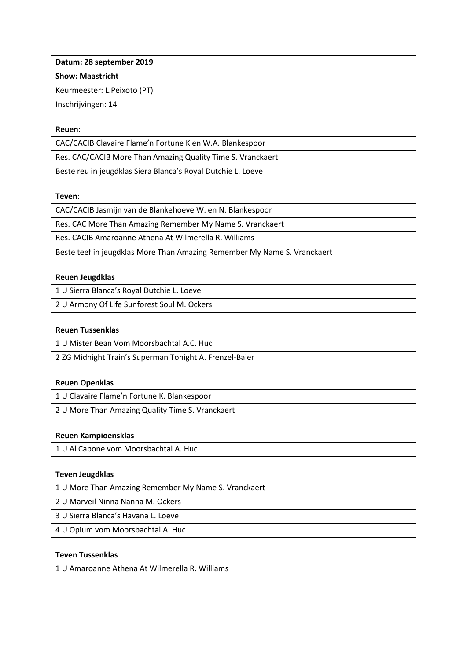**Datum: 28 september 2019**

**Show: Maastricht**

Keurmeester: L.Peixoto (PT)

Inschrijvingen: 14

## **Reuen:**

CAC/CACIB Clavaire Flame'n Fortune K en W.A. Blankespoor Res. CAC/CACIB More Than Amazing Quality Time S. Vranckaert Beste reu in jeugdklas Siera Blanca's Royal Dutchie L. Loeve

## **Teven:**

CAC/CACIB Jasmijn van de Blankehoeve W. en N. Blankespoor

Res. CAC More Than Amazing Remember My Name S. Vranckaert

Res. CACIB Amaroanne Athena At Wilmerella R. Williams

Beste teef in jeugdklas More Than Amazing Remember My Name S. Vranckaert

## **Reuen Jeugdklas**

1 U Sierra Blanca's Royal Dutchie L. Loeve

2 U Armony Of Life Sunforest Soul M. Ockers

## **Reuen Tussenklas**

1 U Mister Bean Vom Moorsbachtal A.C. Huc

2 ZG Midnight Train's Superman Tonight A. Frenzel-Baier

## **Reuen Openklas**

1 U Clavaire Flame'n Fortune K. Blankespoor

2 U More Than Amazing Quality Time S. Vranckaert

## **Reuen Kampioensklas**

1 U Al Capone vom Moorsbachtal A. Huc

#### **Teven Jeugdklas**

1 U More Than Amazing Remember My Name S. Vranckaert

2 U Marveil Ninna Nanna M. Ockers

3 U Sierra Blanca's Havana L. Loeve

4 U Opium vom Moorsbachtal A. Huc

## **Teven Tussenklas**

1 U Amaroanne Athena At Wilmerella R. Williams